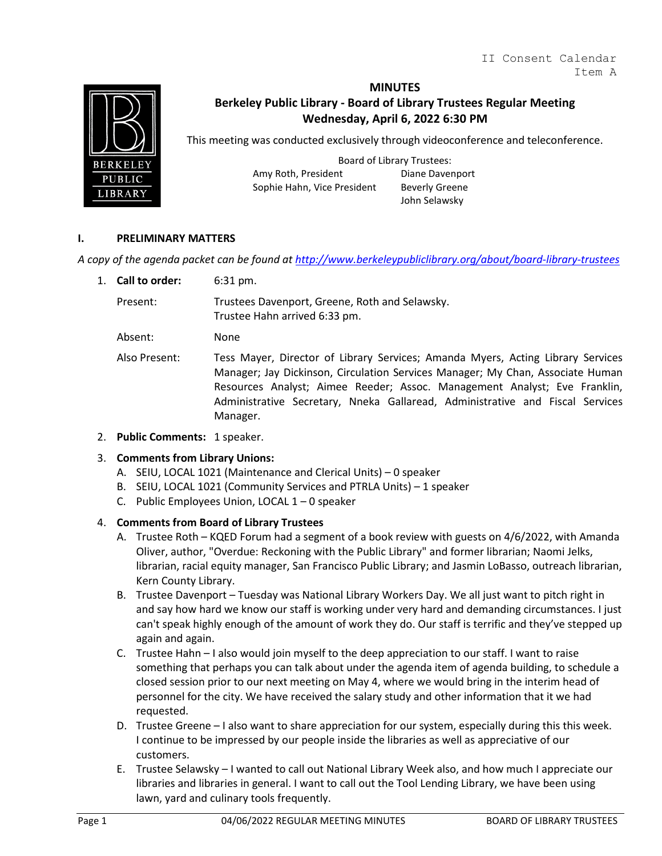

## **MINUTES**

# **Berkeley Public Library - Board of Library Trustees Regular Meeting Wednesday, April 6, 2022 6:30 PM**

This meeting was conducted exclusively through videoconference and teleconference.

Board of Library Trustees: Amy Roth, President Diane Davenport Sophie Hahn, Vice President Beverly Greene

John Selawsky

#### **I. PRELIMINARY MATTERS**

*A copy of the agenda packet can be found at<http://www.berkeleypubliclibrary.org/about/board-library-trustees>*

1. **Call to order:** 6:31 pm.

Present: Trustees Davenport, Greene, Roth and Selawsky. Trustee Hahn arrived 6:33 pm.

Absent: None

- Also Present: Tess Mayer, Director of Library Services; Amanda Myers, Acting Library Services Manager; Jay Dickinson, Circulation Services Manager; My Chan, Associate Human Resources Analyst; Aimee Reeder; Assoc. Management Analyst; Eve Franklin, Administrative Secretary, Nneka Gallaread, Administrative and Fiscal Services Manager.
- 2. **Public Comments:** 1 speaker.

#### 3. **Comments from Library Unions:**

- A. SEIU, LOCAL 1021 (Maintenance and Clerical Units) 0 speaker
- B. SEIU, LOCAL 1021 (Community Services and PTRLA Units) 1 speaker
- C. Public Employees Union, LOCAL 1 0 speaker

#### 4. **Comments from Board of Library Trustees**

- A. Trustee Roth KQED Forum had a segment of a book review with guests on 4/6/2022, with Amanda Oliver, author, "Overdue: Reckoning with the Public Library" and former librarian; Naomi Jelks, librarian, racial equity manager, San Francisco Public Library; and Jasmin LoBasso, outreach librarian, Kern County Library.
- B. Trustee Davenport Tuesday was National Library Workers Day. We all just want to pitch right in and say how hard we know our staff is working under very hard and demanding circumstances. I just can't speak highly enough of the amount of work they do. Our staff is terrific and they've stepped up again and again.
- C. Trustee Hahn I also would join myself to the deep appreciation to our staff. I want to raise something that perhaps you can talk about under the agenda item of agenda building, to schedule a closed session prior to our next meeting on May 4, where we would bring in the interim head of personnel for the city. We have received the salary study and other information that it we had requested.
- D. Trustee Greene I also want to share appreciation for our system, especially during this this week. I continue to be impressed by our people inside the libraries as well as appreciative of our customers.
- E. Trustee Selawsky I wanted to call out National Library Week also, and how much I appreciate our libraries and libraries in general. I want to call out the Tool Lending Library, we have been using lawn, yard and culinary tools frequently.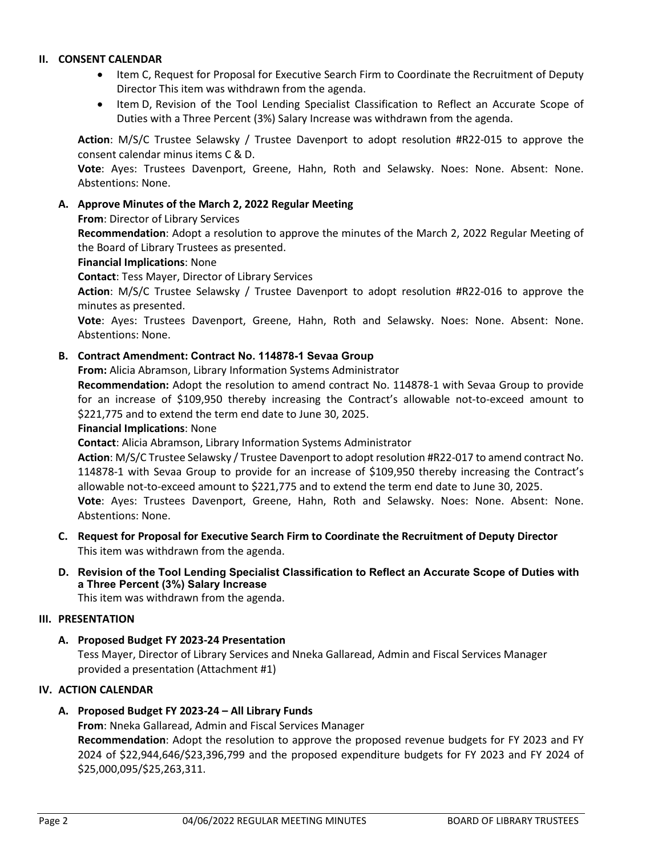## **II. CONSENT CALENDAR**

- Item C, Request for Proposal for Executive Search Firm to Coordinate the Recruitment of Deputy Director This item was withdrawn from the agenda.
- Item D, Revision of the Tool Lending Specialist Classification to Reflect an Accurate Scope of Duties with a Three Percent (3%) Salary Increase was withdrawn from the agenda.

**Action**: M/S/C Trustee Selawsky / Trustee Davenport to adopt resolution #R22-015 to approve the consent calendar minus items C & D.

**Vote**: Ayes: Trustees Davenport, Greene, Hahn, Roth and Selawsky. Noes: None. Absent: None. Abstentions: None.

## **A. Approve Minutes of the March 2, 2022 Regular Meeting**

**From**: Director of Library Services

**Recommendation**: Adopt a resolution to approve the minutes of the March 2, 2022 Regular Meeting of the Board of Library Trustees as presented.

#### **Financial Implications**: None

**Contact**: Tess Mayer, Director of Library Services

**Action**: M/S/C Trustee Selawsky / Trustee Davenport to adopt resolution #R22-016 to approve the minutes as presented.

**Vote**: Ayes: Trustees Davenport, Greene, Hahn, Roth and Selawsky. Noes: None. Absent: None. Abstentions: None.

## **B. Contract Amendment: Contract No. 114878-1 Sevaa Group**

**From:** Alicia Abramson, Library Information Systems Administrator

**Recommendation:** Adopt the resolution to amend contract No. 114878-1 with Sevaa Group to provide for an increase of \$109,950 thereby increasing the Contract's allowable not-to-exceed amount to \$221,775 and to extend the term end date to June 30, 2025.

#### **Financial Implications**: None

**Contact**: Alicia Abramson, Library Information Systems Administrator

**Action**: M/S/C Trustee Selawsky / Trustee Davenport to adopt resolution #R22-017 to amend contract No. 114878-1 with Sevaa Group to provide for an increase of \$109,950 thereby increasing the Contract's allowable not-to-exceed amount to \$221,775 and to extend the term end date to June 30, 2025. **Vote**: Ayes: Trustees Davenport, Greene, Hahn, Roth and Selawsky. Noes: None. Absent: None. Abstentions: None.

- **C. Request for Proposal for Executive Search Firm to Coordinate the Recruitment of Deputy Director**  This item was withdrawn from the agenda.
- **D. Revision of the Tool Lending Specialist Classification to Reflect an Accurate Scope of Duties with a Three Percent (3%) Salary Increase**

This item was withdrawn from the agenda.

#### **III. PRESENTATION**

**A. Proposed Budget FY 2023-24 Presentation** 

Tess Mayer, Director of Library Services and Nneka Gallaread, Admin and Fiscal Services Manager provided a presentation (Attachment #1)

## **IV. ACTION CALENDAR**

# **A. Proposed Budget FY 2023-24 – All Library Funds**

**From**: Nneka Gallaread, Admin and Fiscal Services Manager **Recommendation**: Adopt the resolution to approve the proposed revenue budgets for FY 2023 and FY 2024 of \$22,944,646/\$23,396,799 and the proposed expenditure budgets for FY 2023 and FY 2024 of \$25,000,095/\$25,263,311.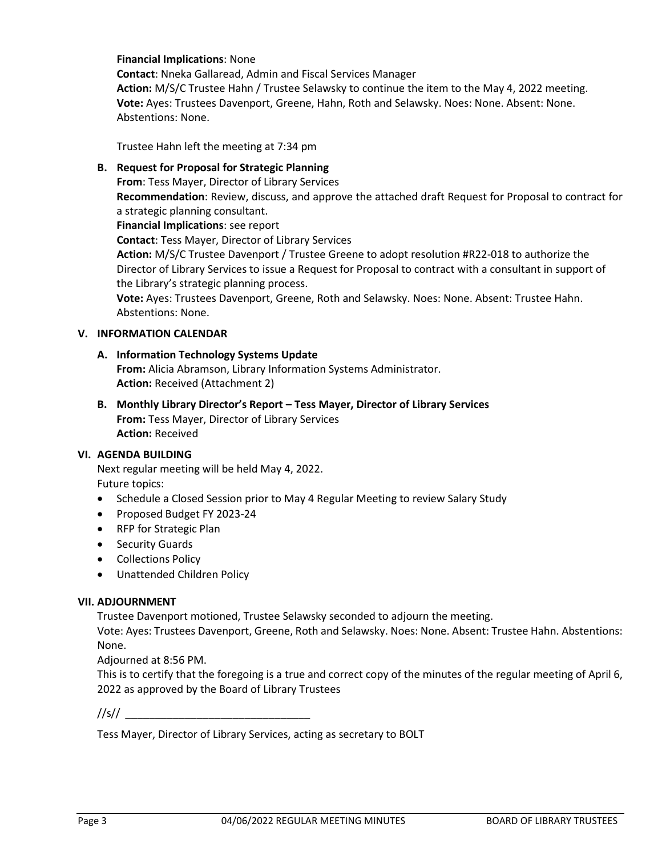#### **Financial Implications**: None

**Contact**: Nneka Gallaread, Admin and Fiscal Services Manager **Action:** M/S/C Trustee Hahn / Trustee Selawsky to continue the item to the May 4, 2022 meeting. **Vote:** Ayes: Trustees Davenport, Greene, Hahn, Roth and Selawsky. Noes: None. Absent: None. Abstentions: None.

Trustee Hahn left the meeting at 7:34 pm

#### **B. Request for Proposal for Strategic Planning**

**From**: Tess Mayer, Director of Library Services **Recommendation**: Review, discuss, and approve the attached draft Request for Proposal to contract for a strategic planning consultant.

**Financial Implications**: see report

**Contact**: Tess Mayer, Director of Library Services

**Action:** M/S/C Trustee Davenport / Trustee Greene to adopt resolution #R22-018 to authorize the Director of Library Services to issue a Request for Proposal to contract with a consultant in support of the Library's strategic planning process.

**Vote:** Ayes: Trustees Davenport, Greene, Roth and Selawsky. Noes: None. Absent: Trustee Hahn. Abstentions: None.

#### **V. INFORMATION CALENDAR**

# **A. Information Technology Systems Update**

**From:** Alicia Abramson, Library Information Systems Administrator. Action: Received (Attachment 2)

**B. Monthly Library Director's Report – Tess Mayer, Director of Library Services From:** Tess Mayer, Director of Library Services **Action:** Received

#### **VI. AGENDA BUILDING**

Next regular meeting will be held May 4, 2022. Future topics:

- Schedule a Closed Session prior to May 4 Regular Meeting to review Salary Study
- Proposed Budget FY 2023-24
- RFP for Strategic Plan
- Security Guards
- Collections Policy
- Unattended Children Policy

#### **VII. ADJOURNMENT**

Trustee Davenport motioned, Trustee Selawsky seconded to adjourn the meeting.

Vote: Ayes: Trustees Davenport, Greene, Roth and Selawsky. Noes: None. Absent: Trustee Hahn. Abstentions: None.

Adjourned at 8:56 PM.

This is to certify that the foregoing is a true and correct copy of the minutes of the regular meeting of April 6, 2022 as approved by the Board of Library Trustees

//s// \_\_\_\_\_\_\_\_\_\_\_\_\_\_\_\_\_\_\_\_\_\_\_\_\_\_\_\_\_\_\_

Tess Mayer, Director of Library Services, acting as secretary to BOLT